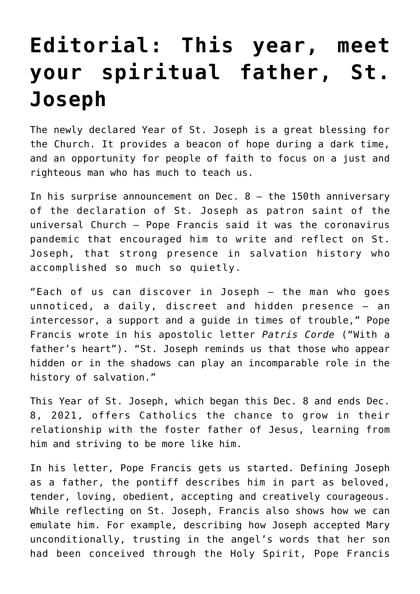## **[Editorial: This year, meet](https://www.osvnews.com/2020/12/14/editorial-this-year-meet-your-spiritual-father-st-joseph/) [your spiritual father, St.](https://www.osvnews.com/2020/12/14/editorial-this-year-meet-your-spiritual-father-st-joseph/) [Joseph](https://www.osvnews.com/2020/12/14/editorial-this-year-meet-your-spiritual-father-st-joseph/)**

The newly declared Year of St. Joseph is a great blessing for the Church. It provides a beacon of hope during a dark time, and an opportunity for people of faith to focus on a just and righteous man who has much to teach us.

In his surprise announcement on Dec. 8 — the 150th anniversary of the declaration of St. Joseph as patron saint of the universal Church — Pope Francis said it was the coronavirus pandemic that encouraged him to write and reflect on St. Joseph, that strong presence in salvation history who accomplished so much so quietly.

"Each of us can discover in Joseph — the man who goes unnoticed, a daily, discreet and hidden presence — an intercessor, a support and a guide in times of trouble," Pope Francis wrote in his apostolic letter *Patris Corde* ("With a father's heart"). "St. Joseph reminds us that those who appear hidden or in the shadows can play an incomparable role in the history of salvation."

This Year of St. Joseph, which began this Dec. 8 and ends Dec. 8, 2021, offers Catholics the chance to grow in their relationship with the foster father of Jesus, learning from him and striving to be more like him.

In his letter, Pope Francis gets us started. Defining Joseph as a father, the pontiff describes him in part as beloved, tender, loving, obedient, accepting and creatively courageous. While reflecting on St. Joseph, Francis also shows how we can emulate him. For example, describing how Joseph accepted Mary unconditionally, trusting in the angel's words that her son had been conceived through the Holy Spirit, Pope Francis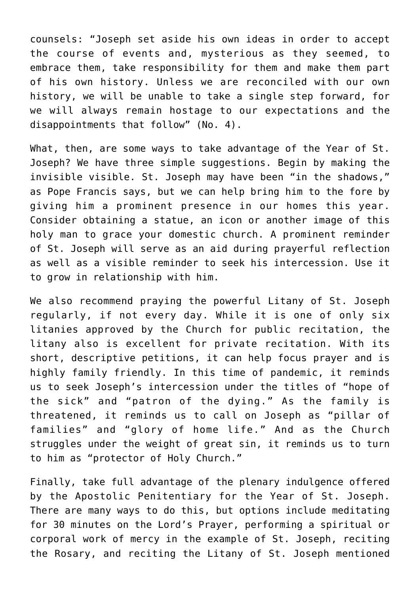counsels: "Joseph set aside his own ideas in order to accept the course of events and, mysterious as they seemed, to embrace them, take responsibility for them and make them part of his own history. Unless we are reconciled with our own history, we will be unable to take a single step forward, for we will always remain hostage to our expectations and the disappointments that follow" (No. 4).

What, then, are some ways to take advantage of the Year of St. Joseph? We have three simple suggestions. Begin by making the invisible visible. St. Joseph may have been "in the shadows," as Pope Francis says, but we can help bring him to the fore by giving him a prominent presence in our homes this year. Consider obtaining a statue, an icon or another image of this holy man to grace your domestic church. A prominent reminder of St. Joseph will serve as an aid during prayerful reflection as well as a visible reminder to seek his intercession. Use it to grow in relationship with him.

We also recommend praying the powerful Litany of St. Joseph regularly, if not every day. While it is one of only six litanies approved by the Church for public recitation, the litany also is excellent for private recitation. With its short, descriptive petitions, it can help focus prayer and is highly family friendly. In this time of pandemic, it reminds us to seek Joseph's intercession under the titles of "hope of the sick" and "patron of the dying." As the family is threatened, it reminds us to call on Joseph as "pillar of families" and "glory of home life." And as the Church struggles under the weight of great sin, it reminds us to turn to him as "protector of Holy Church."

Finally, take full advantage of the plenary indulgence offered by the Apostolic Penitentiary for the Year of St. Joseph. There are many ways to do this, but options include meditating for 30 minutes on the Lord's Prayer, performing a spiritual or corporal work of mercy in the example of St. Joseph, reciting the Rosary, and reciting the Litany of St. Joseph mentioned